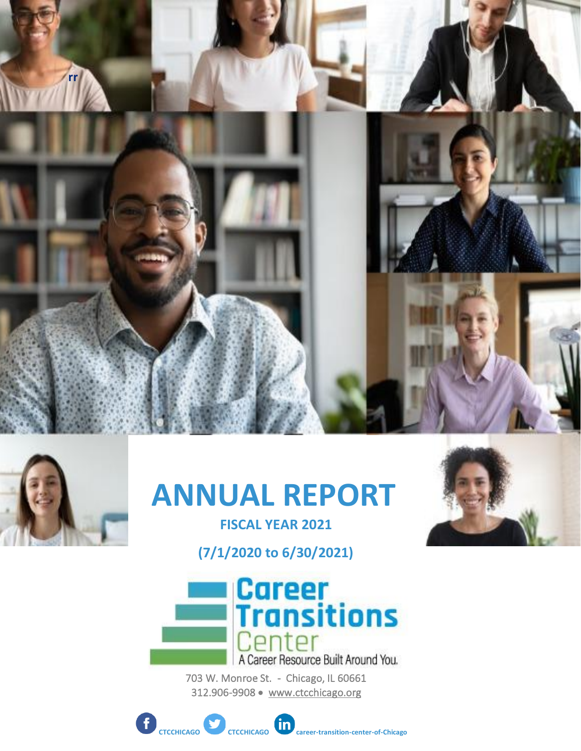



# **ANNUAL REPORT**

**FISCAL YEAR 2021 (7/1/2020 to 6/30/2021)**



703 W. Monroe St. - Chicago, IL 60661 312.906-9908 • [www.ctcchicago.org](http://www.ctcchicago.org/) 

**CTCCHICAGO CTCCHICAGO CTCCHICAGO CAREGO CAREGO CAREGO CAREGO CAREGO CAREGO CAREGO CAREGO CAREGO CAREGO CAREGO CAREGO CAREGO CAREGO CAREGO CAREGO CAREGO CAREGO CAREGO CAREGO CAREGO CAREGO CAREGO CAREGO CAREGO CAREGO** 

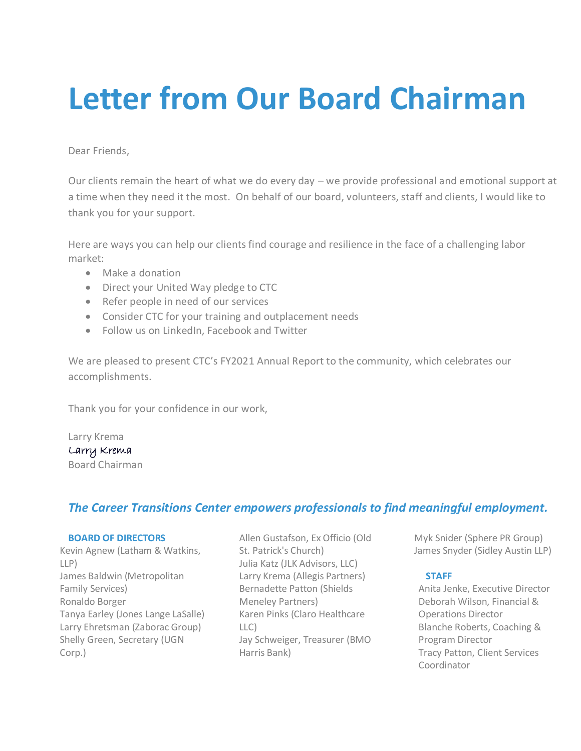# **Letter from Our Board Chairman**

Dear Friends,

Our clients remain the heart of what we do every day – we provide professional and emotional support at a time when they need it the most. On behalf of our board, volunteers, staff and clients, I would like to thank you for your support.

Here are ways you can help our clients find courage and resilience in the face of a challenging labor market:

- Make a donation
- Direct your United Way pledge to CTC
- Refer people in need of our services
- Consider CTC for your training and outplacement needs
- Follow us on LinkedIn, Facebook and Twitter

We are pleased to present CTC's FY2021 Annual Report to the community, which celebrates our accomplishments.

Thank you for your confidence in our work,

Larry Krema Larry Krema Board Chairman

### *The Career Transitions Center empowers professionals to find meaningful employment.*

#### **BOARD OF DIRECTORS**

Kevin Agnew (Latham & Watkins, LLP) James Baldwin (Metropolitan Family Services) Ronaldo Borger Tanya Earley (Jones Lange LaSalle) Larry Ehretsman (Zaborac Group) Shelly Green, Secretary (UGN Corp.)

Allen Gustafson, Ex Officio (Old St. Patrick's Church) Julia Katz (JLK Advisors, LLC) Larry Krema (Allegis Partners) Bernadette Patton (Shields Meneley Partners) Karen Pinks (Claro Healthcare LLC) Jay Schweiger, Treasurer (BMO Harris Bank)

Myk Snider (Sphere PR Group) James Snyder (Sidley Austin LLP)

#### **STAFF**

Anita Jenke, Executive Director Deborah Wilson, Financial & Operations Director Blanche Roberts, Coaching & Program Director Tracy Patton, Client Services Coordinator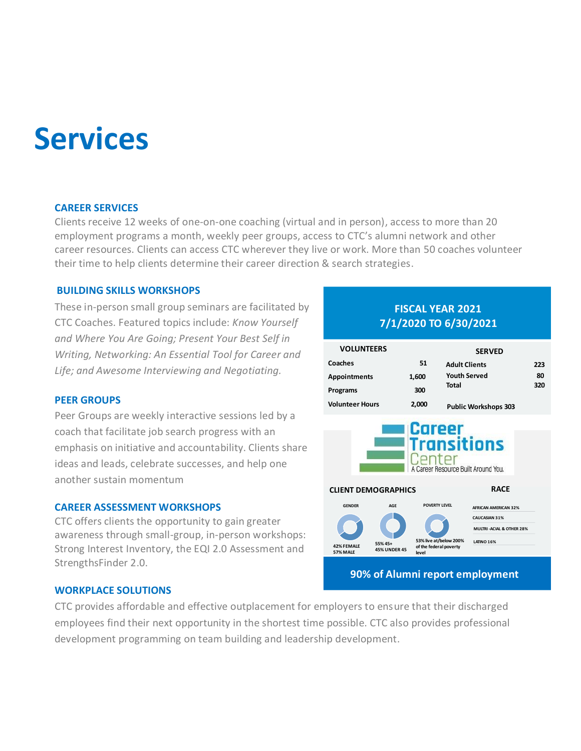# **Services**

#### **CAREER SERVICES**

Clients receive 12 weeks of one-on-one coaching (virtual and in person), access to more than 20 employment programs a month, weekly peer groups, access to CTC's alumni network and other career resources. Clients can access CTC wherever they live or work. More than 50 coaches volunteer their time to help clients determine their career direction & search strategies.

#### **BUILDING SKILLS WORKSHOPS**

These in-person small group seminars are facilitated by CTC Coaches. Featured topics include: *Know Yourself and Where You Are Going; Present Your Best Self in Writing, Networking: An Essential Tool for Career and Life; and Awesome Interviewing and Negotiating.*

#### **PEER GROUPS**

Peer Groups are weekly interactive sessions led by a coach that facilitate job search progress with an emphasis on initiative and accountability. Clients share ideas and leads, celebrate successes, and help one another sustain momentum

#### **CAREER ASSESSMENT WORKSHOPS**

CTC offers clients the opportunity to gain greater awareness through small-group, in-person workshops: Strong Interest Inventory, the EQI 2.0 Assessment and StrengthsFinder 2.0.

#### **WORKPLACE SOLUTIONS**

CTC provides affordable and effective outplacement for employers to ensure that their discharged employees find their next opportunity in the shortest time possible. CTC also provides professional development programming on team building and leadership development.

### **FISCAL YEAR 2021** 7/1/2020 TO 6/30/2021

| <b>VOLUNTEERS</b>      |       | <b>SERVED</b>               |     |  |  |  |
|------------------------|-------|-----------------------------|-----|--|--|--|
| Coaches                | 51    | <b>Adult Clients</b>        | 223 |  |  |  |
| <b>Appointments</b>    | 1,600 | <b>Youth Served</b>         | 80  |  |  |  |
| Programs               | 300   | Total                       | 320 |  |  |  |
| <b>Volunteer Hours</b> | 2,000 | <b>Public Workshops 303</b> |     |  |  |  |
| <b>Career</b>          |       |                             |     |  |  |  |
|                        |       |                             |     |  |  |  |

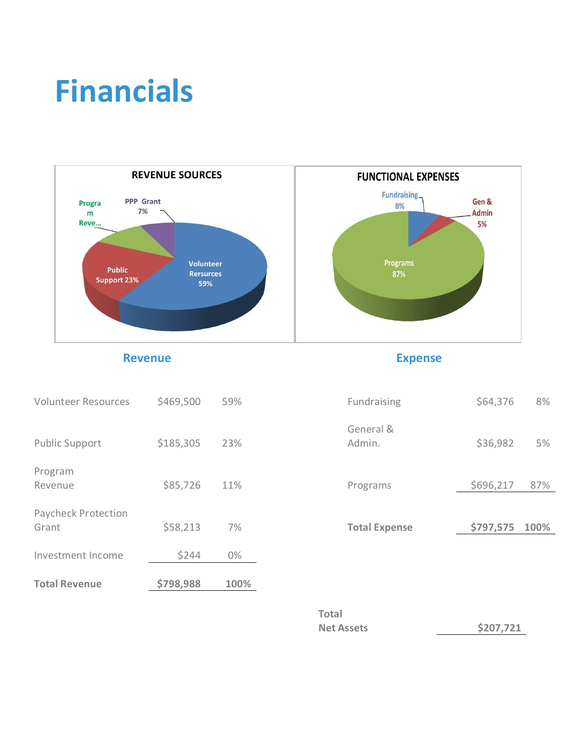# **Financials**



**Revenue Expense** 

| <b>Total Revenue</b>                | \$798,988 | 100% |                      |           |      |
|-------------------------------------|-----------|------|----------------------|-----------|------|
| Investment Income                   | \$244     | 0%   |                      |           |      |
| <b>Paycheck Protection</b><br>Grant | \$58,213  | 7%   | <b>Total Expense</b> | \$797,575 | 100% |
| Program<br>Revenue                  | \$85,726  | 11%  | Programs             | \$696,217 | 87%  |
| <b>Public Support</b>               | \$185,305 | 23%  | General &<br>Admin.  | \$36,982  |      |
| <b>Volunteer Resources</b>          | \$469,500 | 59%  | Fundraising          | \$64,376  |      |

| Fundraising          | \$64,376       | 8%  |
|----------------------|----------------|-----|
| General &<br>Admin.  | \$36,982       | 5%  |
| Programs             | \$696,217      | 87% |
| <b>Total Expense</b> | \$797,575 100% |     |
|                      |                |     |

| Total             |           |
|-------------------|-----------|
| <b>Net Assets</b> | \$207,721 |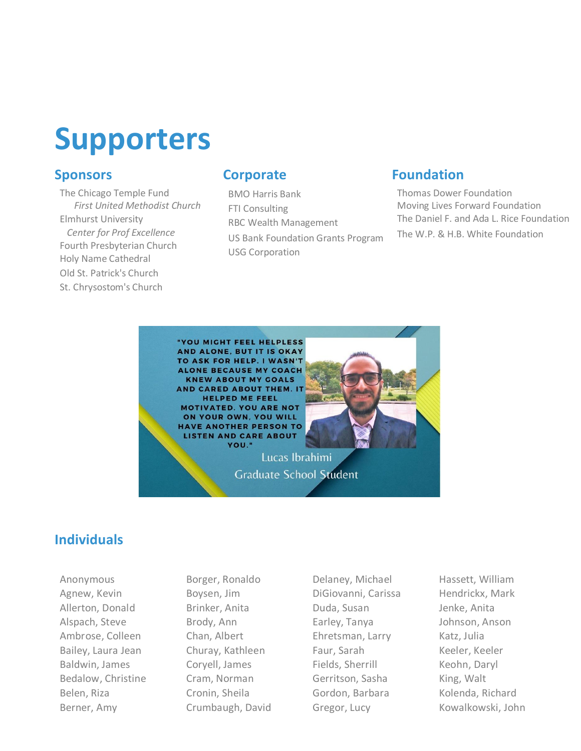

## **Sponsors**

[The Chicago Temple](http://staff.ctcchicago.org/B_SetUMSeq.asp?Mseq=14650) Fund *First United Methodist Church* [Elmhurst University](http://staff.ctcchicago.org/B_SetUMSeq.asp?Mseq=14405)  *Center for Prof Excellence* Fourth Presbyterian Church [Holy Name Cathedral](http://staff.ctcchicago.org/B_SetUMSeq.asp?Mseq=14464) [Old St. Patrick's Church](http://staff.ctcchicago.org/B_SetUMSeq.asp?Mseq=14598) [St. Chrysostom's Church](http://staff.ctcchicago.org/B_SetUMSeq.asp?Mseq=13111)

### **Corporate**

BMO Harris Bank FTI Consulting [RBC Wealth Management](http://staff.ctcchicago.org/B_SetUMSeq.asp?Mseq=16224) US Bank Foundation Grants Program USG Corporation

## **Foundation**

[Thomas Dower Foundation](http://staff.ctcchicago.org/B_SetUMSeq.asp?Mseq=16807) [Moving Lives Forward Foundation](http://staff.ctcchicago.org/B_SetUMSeq.asp?Mseq=17303) The Daniel F. and Ada L. Rice Foundation The W.P. & H.B. White Foundation



# **Individuals**

Anonymous Agnew, Kevin Allerton, Donald Alspach, Steve Ambrose, Colleen Bailey, Laura Jean Baldwin, James Bedalow, Christine Belen, Riza Berner, Amy

Borger, Ronaldo Boysen, Jim Brinker, Anita Brody, Ann Chan, Albert Churay, Kathleen Coryell, James Cram, Norman Cronin, Sheila Crumbaugh, David

Delaney, Michael DiGiovanni, Carissa Duda, Susan Earley, Tanya Ehretsman, Larry Faur, Sarah Fields, Sherrill Gerritson, Sasha Gordon, Barbara Gregor, Lucy

Hassett, William Hendrickx, Mark Jenke, Anita Johnson, Anson Katz, Julia Keeler, Keeler Keohn, Daryl King, Walt Kolenda, Richard Kowalkowski, John